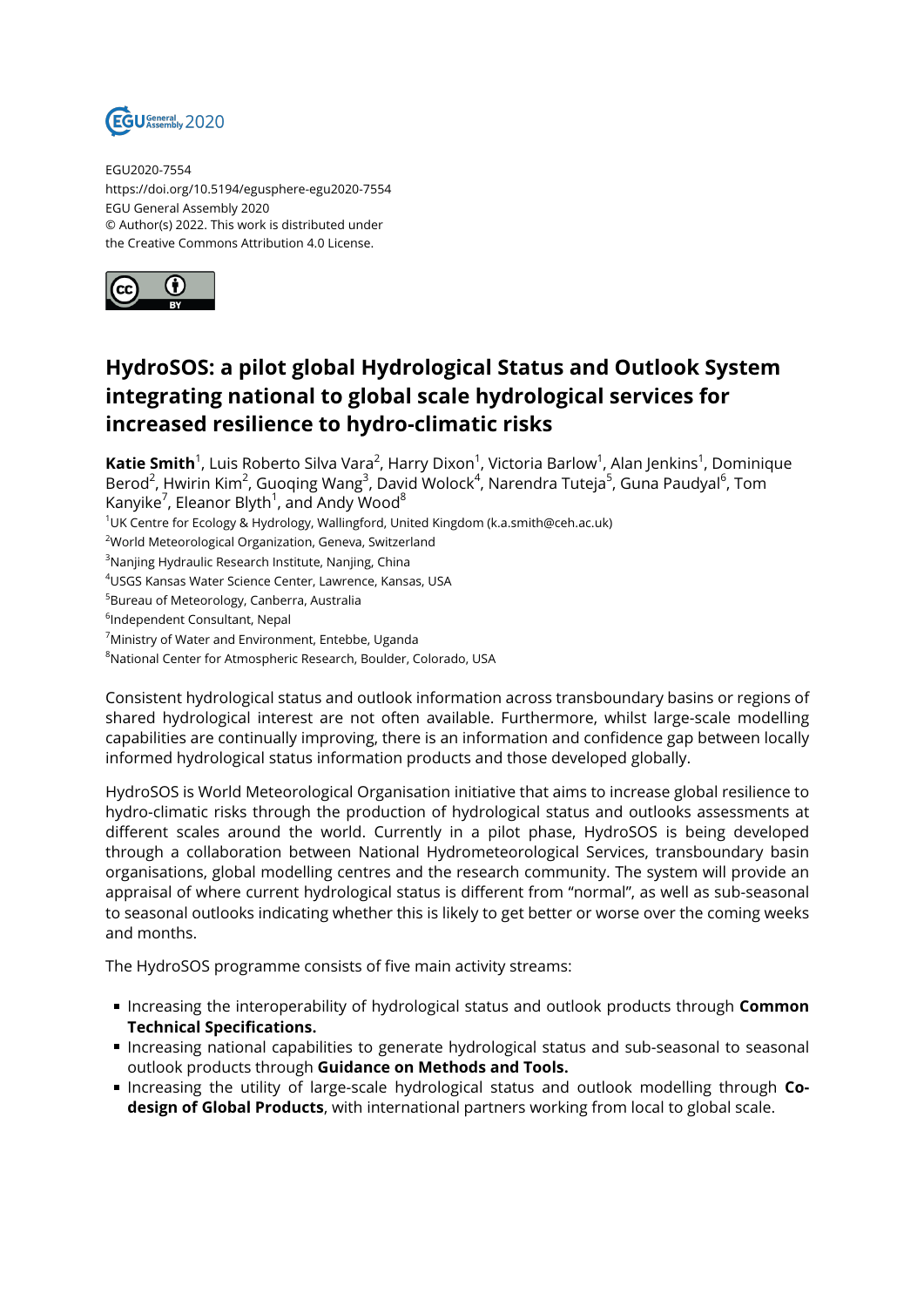

EGU2020-7554 https://doi.org/10.5194/egusphere-egu2020-7554 EGU General Assembly 2020 © Author(s) 2022. This work is distributed under the Creative Commons Attribution 4.0 License.



## **HydroSOS: a pilot global Hydrological Status and Outlook System integrating national to global scale hydrological services for increased resilience to hydro-climatic risks**

**Katie Smith**<sup>1</sup>, Luis Roberto Silva Vara<sup>2</sup>, Harry Dixon<sup>1</sup>, Victoria Barlow<sup>1</sup>, Alan Jenkins<sup>1</sup>, Dominique Berod<sup>2</sup>, Hwirin Kim<sup>2</sup>, Guoqing Wang<sup>3</sup>, David Wolock<sup>4</sup>, Narendra Tuteja<sup>5</sup>, Guna Paudyal<sup>6</sup>, Tom Kanyike $^7$ , Eleanor Blyth $^1$ , and Andy Wood $^8$ 

 $1$ UK Centre for Ecology & Hydrology, Wallingford, United Kingdom (k.a.smith@ceh.ac.uk)

<sup>2</sup>World Meteorological Organization, Geneva, Switzerland

<sup>3</sup>Nanjing Hydraulic Research Institute, Nanjing, China

<sup>4</sup>USGS Kansas Water Science Center, Lawrence, Kansas, USA

<sup>5</sup>Bureau of Meteorology, Canberra, Australia

6 Independent Consultant, Nepal

<sup>7</sup>Ministry of Water and Environment, Entebbe, Uganda

<sup>8</sup>National Center for Atmospheric Research, Boulder, Colorado, USA

Consistent hydrological status and outlook information across transboundary basins or regions of shared hydrological interest are not often available. Furthermore, whilst large-scale modelling capabilities are continually improving, there is an information and confidence gap between locally informed hydrological status information products and those developed globally.

HydroSOS is World Meteorological Organisation initiative that aims to increase global resilience to hydro-climatic risks through the production of hydrological status and outlooks assessments at different scales around the world. Currently in a pilot phase, HydroSOS is being developed through a collaboration between National Hydrometeorological Services, transboundary basin organisations, global modelling centres and the research community. The system will provide an appraisal of where current hydrological status is different from "normal", as well as sub-seasonal to seasonal outlooks indicating whether this is likely to get better or worse over the coming weeks and months.

The HydroSOS programme consists of five main activity streams:

- Increasing the interoperability of hydrological status and outlook products through **Common Technical Specifications.**
- Increasing national capabilities to generate hydrological status and sub-seasonal to seasonal outlook products through **Guidance on Methods and Tools.**
- **Increasing the utility of large-scale hydrological status and outlook modelling through Codesign of Global Products**, with international partners working from local to global scale.